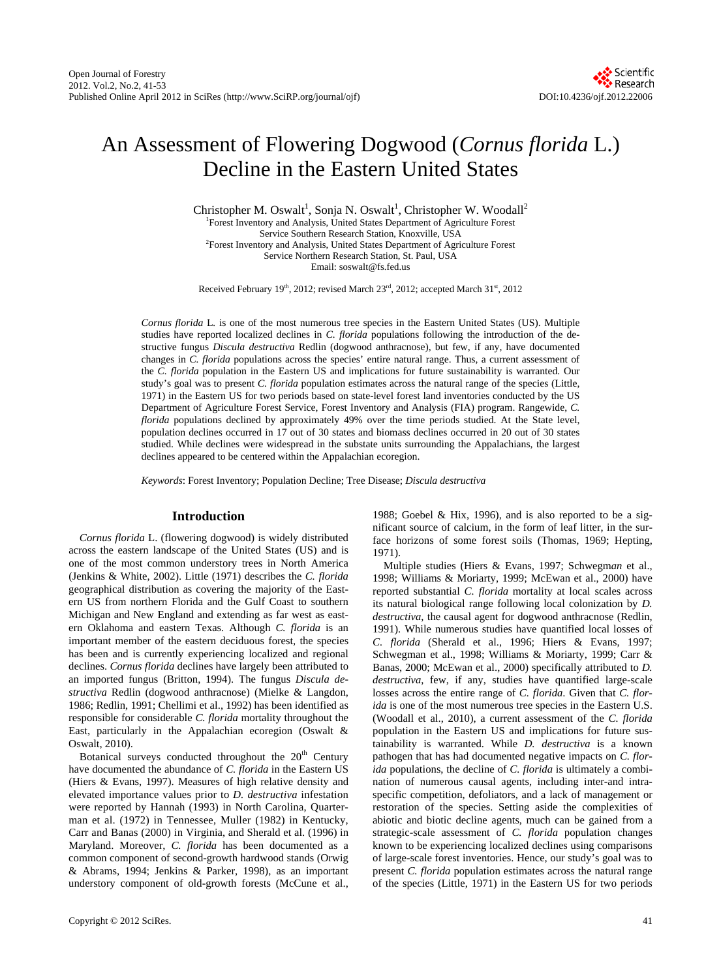# An Assessment of Flowering Dogwood (*Cornus florida* L.) Decline in the Eastern United States

Christopher M. Oswalt<sup>1</sup>, Sonja N. Oswalt<sup>1</sup>, Christopher W. Woodall<sup>2</sup> <sup>1</sup>Forest Inventory and Analysis, United States Department of Agriculture Forest Service Southern Research Station, Knoxville, USA 2 Forest Inventory and Analysis, United States Department of Agriculture Forest Service Northern Research Station, St. Paul, USA Email: soswalt@fs.fed.us

Received February 19<sup>th</sup>, 2012; revised March  $23<sup>rd</sup>$ , 2012; accepted March  $31<sup>st</sup>$ , 2012

*Cornus florida* L*.* is one of the most numerous tree species in the Eastern United States (US). Multiple studies have reported localized declines in *C. florida* populations following the introduction of the destructive fungus *Discula destructiva* Redlin (dogwood anthracnose), but few, if any, have documented changes in *C. florida* populations across the species' entire natural range. Thus, a current assessment of the *C. florida* population in the Eastern US and implications for future sustainability is warranted. Our study's goal was to present *C. florida* population estimates across the natural range of the species (Little, 1971) in the Eastern US for two periods based on state-level forest land inventories conducted by the US Department of Agriculture Forest Service, Forest Inventory and Analysis (FIA) program. Rangewide, *C. florida* populations declined by approximately 49% over the time periods studied. At the State level, population declines occurred in 17 out of 30 states and biomass declines occurred in 20 out of 30 states studied. While declines were widespread in the substate units surrounding the Appalachians, the largest declines appeared to be centered within the Appalachian ecoregion.

*Keywords*: Forest Inventory; Population Decline; Tree Disease; *Discula destructiva* 

#### **Introduction**

*Cornus florida* L. (flowering dogwood) is widely distributed across the eastern landscape of the United States (US) and is one of the most common understory trees in North America (Jenkins & White, 2002). Little (1971) describes the *C. florida* geographical distribution as covering the majority of the Eastern US from northern Florida and the Gulf Coast to southern Michigan and New England and extending as far west as eastern Oklahoma and eastern Texas. Although *C. florida* is an important member of the eastern deciduous forest, the species has been and is currently experiencing localized and regional declines. *Cornus florida* declines have largely been attributed to an imported fungus (Britton, 1994). The fungus *Discula destructiva* Redlin (dogwood anthracnose) (Mielke & Langdon, 1986; Redlin, 1991; Chellimi et al., 1992) has been identified as responsible for considerable *C. florida* mortality throughout the East, particularly in the Appalachian ecoregion (Oswalt & Oswalt, 2010).

Botanical surveys conducted throughout the  $20<sup>th</sup>$  Century have documented the abundance of *C. florida* in the Eastern US (Hiers & Evans, 1997). Measures of high relative density and elevated importance values prior to *D. destructiva* infestation were reported by Hannah (1993) in North Carolina, Quarterman et al. (1972) in Tennessee, Muller (1982) in Kentucky, Carr and Banas (2000) in Virginia, and Sherald et al. (1996) in Maryland. Moreover, *C. florida* has been documented as a common component of second-growth hardwood stands (Orwig & Abrams, 1994; Jenkins & Parker, 1998), as an important understory component of old-growth forests (McCune et al.,

1988; Goebel & Hix, 1996), and is also reported to be a significant source of calcium, in the form of leaf litter, in the surface horizons of some forest soils (Thomas, 1969; Hepting, 1971).

Multiple studies (Hiers & Evans, 1997; Schwegm*an* et al., 1998; Williams & Moriarty, 1999; McEwan et al., 2000) have reported substantial *C. florida* mortality at local scales across its natural biological range following local colonization by *D. destructiva*, the causal agent for dogwood anthracnose (Redlin, 1991). While numerous studies have quantified local losses of *C. florida* (Sherald et al., 1996; Hiers & Evans, 1997; Schwegman et al., 1998; Williams & Moriarty, 1999; Carr & Banas, 2000; McEwan et al., 2000) specifically attributed to *D. destructiva*, few, if any, studies have quantified large-scale losses across the entire range of *C. florida*. Given that *C. florida* is one of the most numerous tree species in the Eastern U.S. (Woodall et al., 2010), a current assessment of the *C. florida* population in the Eastern US and implications for future sustainability is warranted. While *D. destructiva* is a known pathogen that has had documented negative impacts on *C. florida* populations, the decline of *C. florida* is ultimately a combination of numerous causal agents, including inter-and intraspecific competition, defoliators, and a lack of management or restoration of the species. Setting aside the complexities of abiotic and biotic decline agents, much can be gained from a strategic-scale assessment of *C. florida* population changes known to be experiencing localized declines using comparisons of large-scale forest inventories. Hence, our study's goal was to present *C. florida* population estimates across the natural range of the species (Little, 1971) in the Eastern US for two periods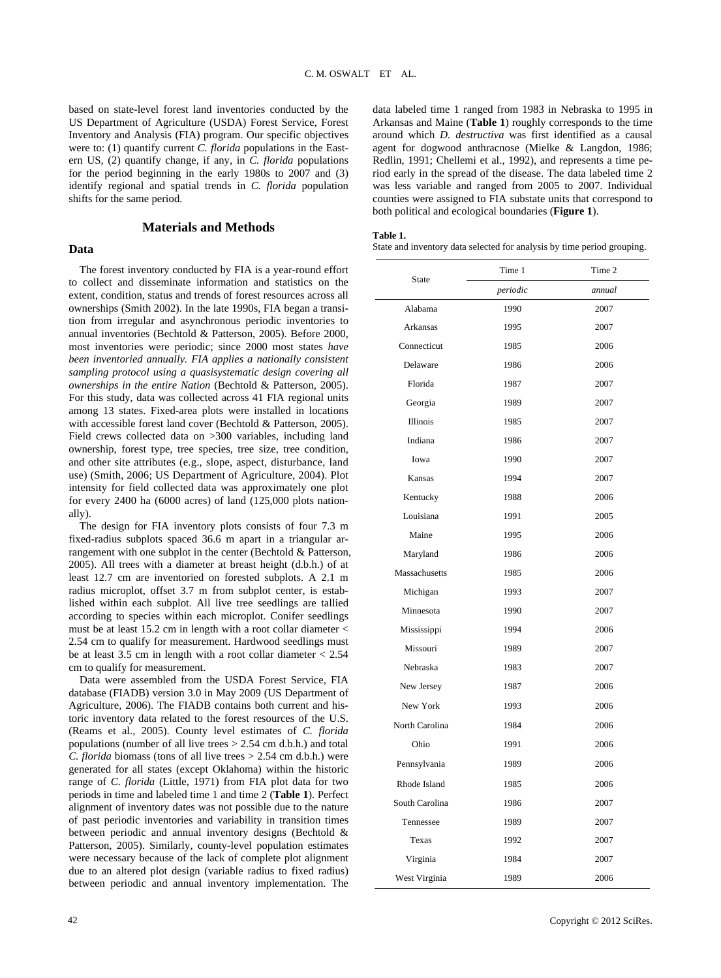based on state-level forest land inventories conducted by the US Department of Agriculture (USDA) Forest Service, Forest Inventory and Analysis (FIA) program. Our specific objectives were to: (1) quantify current *C. florida* populations in the Eastern US, (2) quantify change, if any, in *C. florida* populations for the period beginning in the early 1980s to 2007 and (3) identify regional and spatial trends in *C. florida* population shifts for the same period.

#### **Materials and Methods**

### **Data**

The forest inventory conducted by FIA is a year-round effort to collect and disseminate information and statistics on the extent, condition, status and trends of forest resources across all ownerships (Smith 2002). In the late 1990s, FIA began a transition from irregular and asynchronous periodic inventories to annual inventories (Bechtold & Patterson, 2005). Before 2000, most inventories were periodic; since 2000 most states *have been inventoried annually. FIA applies a nationally consistent sampling protocol using a quasisystematic design covering all ownerships in the entire Nation* (Bechtold & Patterson, 2005). For this study, data was collected across 41 FIA regional units among 13 states. Fixed-area plots were installed in locations with accessible forest land cover (Bechtold & Patterson, 2005). Field crews collected data on >300 variables, including land ownership, forest type, tree species, tree size, tree condition, and other site attributes (e.g., slope, aspect, disturbance, land use) (Smith, 2006; US Department of Agriculture, 2004). Plot intensity for field collected data was approximately one plot for every 2400 ha (6000 acres) of land (125,000 plots nationally).

The design for FIA inventory plots consists of four 7.3 m fixed-radius subplots spaced 36.6 m apart in a triangular arrangement with one subplot in the center (Bechtold & Patterson, 2005). All trees with a diameter at breast height (d.b.h.) of at least 12.7 cm are inventoried on forested subplots. A 2.1 m radius microplot, offset 3.7 m from subplot center, is established within each subplot. All live tree seedlings are tallied according to species within each microplot. Conifer seedlings must be at least 15.2 cm in length with a root collar diameter  $\lt$ 2.54 cm to qualify for measurement. Hardwood seedlings must be at least 3.5 cm in length with a root collar diameter < 2.54 cm to qualify for measurement.

Data were assembled from the USDA Forest Service, FIA database (FIADB) version 3.0 in May 2009 (US Department of Agriculture, 2006). The FIADB contains both current and historic inventory data related to the forest resources of the U.S. (Reams et al., 2005). County level estimates of *C. florida* populations (number of all live trees > 2.54 cm d.b.h.) and total *C. florida* biomass (tons of all live trees > 2.54 cm d.b.h.) were generated for all states (except Oklahoma) within the historic range of *C. florida* (Little, 1971) from FIA plot data for two periods in time and labeled time 1 and time 2 (**Table 1**). Perfect alignment of inventory dates was not possible due to the nature of past periodic inventories and variability in transition times between periodic and annual inventory designs (Bechtold & Patterson, 2005). Similarly, county-level population estimates were necessary because of the lack of complete plot alignment due to an altered plot design (variable radius to fixed radius) between periodic and annual inventory implementation. The

data labeled time 1 ranged from 1983 in Nebraska to 1995 in Arkansas and Maine (**Table 1**) roughly corresponds to the time around which *D. destructiva* was first identified as a causal agent for dogwood anthracnose (Mielke & Langdon, 1986; Redlin, 1991; Chellemi et al., 1992), and represents a time period early in the spread of the disease. The data labeled time 2 was less variable and ranged from 2005 to 2007. Individual counties were assigned to FIA substate units that correspond to both political and ecological boundaries (**Figure 1**).

#### **Table 1.**

State and inventory data selected for analysis by time period grouping.

| <b>State</b>    | Time 1   | Time 2 |  |  |
|-----------------|----------|--------|--|--|
|                 | periodic | annual |  |  |
| Alabama         | 1990     | 2007   |  |  |
| Arkansas        | 1995     | 2007   |  |  |
| Connecticut     | 1985     | 2006   |  |  |
| Delaware        | 1986     | 2006   |  |  |
| Florida         | 1987     | 2007   |  |  |
| Georgia         | 1989     | 2007   |  |  |
| <b>Illinois</b> | 1985     | 2007   |  |  |
| Indiana         | 1986     | 2007   |  |  |
| Iowa            | 1990     | 2007   |  |  |
| Kansas          | 1994     | 2007   |  |  |
| Kentucky        | 1988     | 2006   |  |  |
| Louisiana       | 1991     | 2005   |  |  |
| Maine           | 1995     | 2006   |  |  |
| Maryland        | 1986     | 2006   |  |  |
| Massachusetts   | 1985     | 2006   |  |  |
| Michigan        | 1993     | 2007   |  |  |
| Minnesota       | 1990     | 2007   |  |  |
| Mississippi     | 1994     | 2006   |  |  |
| Missouri        | 1989     | 2007   |  |  |
| Nebraska        | 1983     | 2007   |  |  |
| New Jersey      | 1987     | 2006   |  |  |
| New York        | 1993     | 2006   |  |  |
| North Carolina  | 1984     | 2006   |  |  |
| Ohio            | 1991     | 2006   |  |  |
| Pennsylvania    | 1989     | 2006   |  |  |
| Rhode Island    | 1985     | 2006   |  |  |
| South Carolina  | 1986     | 2007   |  |  |
| Tennessee       | 1989     | 2007   |  |  |
| Texas           | 1992     | 2007   |  |  |
| Virginia        | 1984     | 2007   |  |  |
| West Virginia   | 1989     | 2006   |  |  |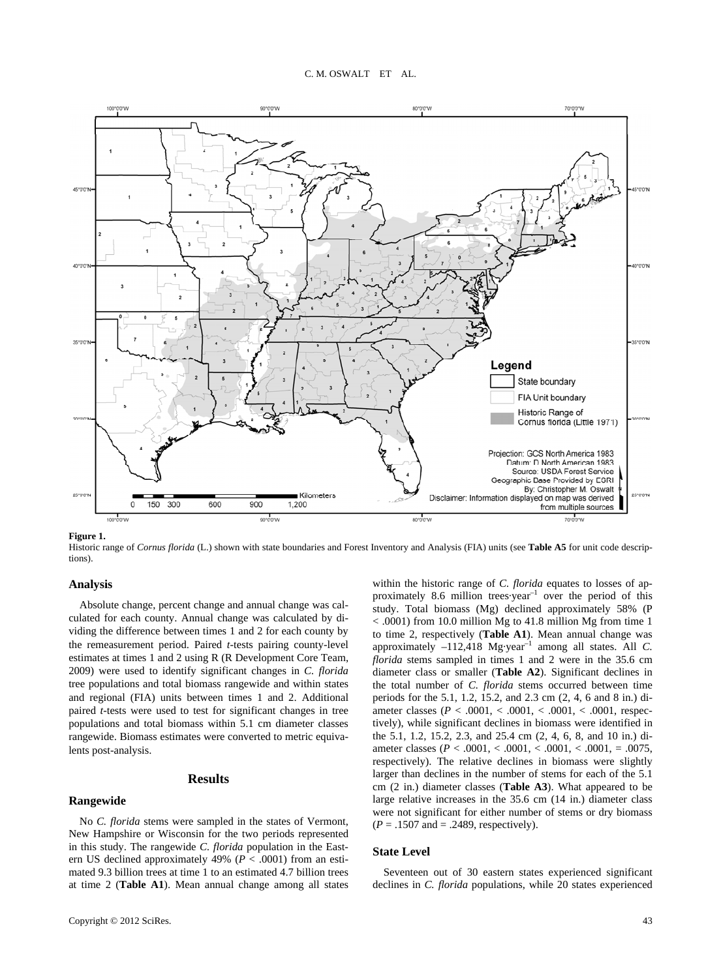

**Figure 1.** 

Historic range of *Cornus florida* (L.) shown with state boundaries and Forest Inventory and Analysis (FIA) units (see **Table A5** for unit code descriptions).

### **Analysis**

Absolute change, percent change and annual change was calculated for each county. Annual change was calculated by dividing the difference between times 1 and 2 for each county by the remeasurement period. Paired *t*-tests pairing county-level estimates at times 1 and 2 using R (R Development Core Team, 2009) were used to identify significant changes in *C. florida* tree populations and total biomass rangewide and within states and regional (FIA) units between times 1 and 2. Additional paired *t*-tests were used to test for significant changes in tree populations and total biomass within 5.1 cm diameter classes rangewide. Biomass estimates were converted to metric equivalents post-analysis.

#### **Results**

#### **Rangewide**

No *C. florida* stems were sampled in the states of Vermont, New Hampshire or Wisconsin for the two periods represented in this study. The rangewide *C. florida* population in the Eastern US declined approximately 49% (*P* < .0001) from an estimated 9.3 billion trees at time 1 to an estimated 4.7 billion trees at time 2 (**Table A1**). Mean annual change among all states

within the historic range of *C. florida* equates to losses of approximately 8.6 million trees year<sup>-1</sup> over the period of this study. Total biomass (Mg) declined approximately 58% (P < .0001) from 10.0 million Mg to 41.8 million Mg from time 1 to time 2, respectively (**Table A1**). Mean annual change was approximately  $-112,418$  Mg·year<sup>-1</sup> among all states. All *C*. *florida* stems sampled in times 1 and 2 were in the 35.6 cm diameter class or smaller (**Table A2**). Significant declines in the total number of *C. florida* stems occurred between time periods for the 5.1, 1.2, 15.2, and 2.3 cm (2, 4, 6 and 8 in.) diameter classes (*P* < .0001, < .0001, < .0001, < .0001, respectively), while significant declines in biomass were identified in the 5.1, 1.2, 15.2, 2.3, and 25.4 cm (2, 4, 6, 8, and 10 in.) diameter classes (*P* < .0001, < .0001, < .0001, < .0001, = .0075, respectively). The relative declines in biomass were slightly larger than declines in the number of stems for each of the 5.1 cm (2 in.) diameter classes (**Table A3**). What appeared to be large relative increases in the 35.6 cm (14 in.) diameter class were not significant for either number of stems or dry biomass  $(P = .1507$  and  $= .2489$ , respectively).

#### **State Level**

Seventeen out of 30 eastern states experienced significant declines in *C. florida* populations, while 20 states experienced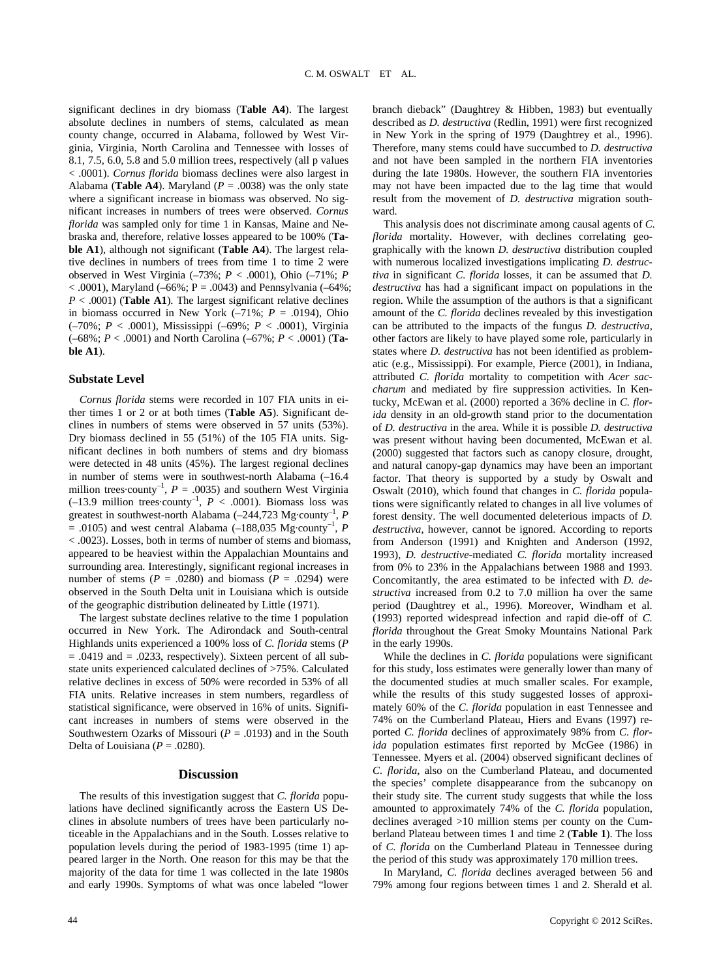significant declines in dry biomass (**Table A4**). The largest absolute declines in numbers of stems, calculated as mean county change, occurred in Alabama, followed by West Virginia, Virginia, North Carolina and Tennessee with losses of 8.1, 7.5, 6.0, 5.8 and 5.0 million trees, respectively (all p values < .0001). *Cornus florida* biomass declines were also largest in Alabama (**Table A4**). Maryland ( $P = .0038$ ) was the only state where a significant increase in biomass was observed. No significant increases in numbers of trees were observed. *Cornus florida* was sampled only for time 1 in Kansas, Maine and Nebraska and, therefore, relative losses appeared to be 100% (**Table A1**), although not significant (**Table A4**). The largest relative declines in numbers of trees from time 1 to time 2 were observed in West Virginia (–73%; *P* < .0001), Ohio (–71%; *P*  $< .0001$ ), Maryland (–66%; P = .0043) and Pennsylvania (–64%;  $P < .0001$ ) (**Table A1**). The largest significant relative declines in biomass occurred in New York  $(-71\%; P = .0194)$ , Ohio (–70%; *P* < .0001), Mississippi (–69%; *P* < .0001), Virginia (–68%; *P* < .0001) and North Carolina (–67%; *P* < .0001) (**Table A1**).

#### **Substate Level**

*Cornus florida* stems were recorded in 107 FIA units in either times 1 or 2 or at both times (**Table A5**). Significant declines in numbers of stems were observed in 57 units (53%). Dry biomass declined in 55 (51%) of the 105 FIA units. Significant declines in both numbers of stems and dry biomass were detected in 48 units (45%). The largest regional declines in number of stems were in southwest-north Alabama (–16.4 million trees·county<sup>-1</sup>,  $P = .0035$ ) and southern West Virginia ( $-13.9$  million trees county<sup>-1</sup>,  $P < .0001$ ). Biomass loss was greatest in southwest-north Alabama (–244,723 Mg·county–1, *P*  $= .0105$ ) and west central Alabama ( $-188,035$  Mg·county<sup>-1</sup>, *P* < .0023). Losses, both in terms of number of stems and biomass, appeared to be heaviest within the Appalachian Mountains and surrounding area. Interestingly, significant regional increases in number of stems ( $P = .0280$ ) and biomass ( $P = .0294$ ) were observed in the South Delta unit in Louisiana which is outside of the geographic distribution delineated by Little (1971).

The largest substate declines relative to the time 1 population occurred in New York. The Adirondack and South-central Highlands units experienced a 100% loss of *C. florida* stems (*P*  $= .0419$  and  $= .0233$ , respectively). Sixteen percent of all substate units experienced calculated declines of >75%. Calculated relative declines in excess of 50% were recorded in 53% of all FIA units. Relative increases in stem numbers, regardless of statistical significance, were observed in 16% of units. Significant increases in numbers of stems were observed in the Southwestern Ozarks of Missouri ( $P = .0193$ ) and in the South Delta of Louisiana ( $P = .0280$ ).

#### **Discussion**

The results of this investigation suggest that *C. florida* populations have declined significantly across the Eastern US Declines in absolute numbers of trees have been particularly noticeable in the Appalachians and in the South. Losses relative to population levels during the period of 1983-1995 (time 1) appeared larger in the North. One reason for this may be that the majority of the data for time 1 was collected in the late 1980s and early 1990s. Symptoms of what was once labeled "lower branch dieback" (Daughtrey & Hibben, 1983) but eventually described as *D. destructiva* (Redlin, 1991) were first recognized in New York in the spring of 1979 (Daughtrey et al., 1996). Therefore, many stems could have succumbed to *D. destructiva* and not have been sampled in the northern FIA inventories during the late 1980s. However, the southern FIA inventories may not have been impacted due to the lag time that would result from the movement of *D. destructiva* migration southward.

This analysis does not discriminate among causal agents of *C. florida* mortality. However, with declines correlating geographically with the known *D. destructiva* distribution coupled with numerous localized investigations implicating *D. destructiva* in significant *C. florida* losses, it can be assumed that *D. destructiva* has had a significant impact on populations in the region. While the assumption of the authors is that a significant amount of the *C. florida* declines revealed by this investigation can be attributed to the impacts of the fungus *D. destructiva*, other factors are likely to have played some role, particularly in states where *D. destructiva* has not been identified as problematic (e.g., Mississippi). For example, Pierce (2001), in Indiana, attributed *C. florida* mortality to competition with *Acer saccharum* and mediated by fire suppression activities. In Kentucky, McEwan et al. (2000) reported a 36% decline in *C. florida* density in an old-growth stand prior to the documentation of *D. destructiva* in the area. While it is possible *D. destructiva* was present without having been documented, McEwan et al. (2000) suggested that factors such as canopy closure, drought, and natural canopy-gap dynamics may have been an important factor. That theory is supported by a study by Oswalt and Oswalt (2010), which found that changes in *C. florida* populations were significantly related to changes in all live volumes of forest density. The well documented deleterious impacts of *D. destructiva*, however, cannot be ignored. According to reports from Anderson (1991) and Knighten and Anderson (1992, 1993), *D. destructive-*mediated *C. florida* mortality increased from 0% to 23% in the Appalachians between 1988 and 1993. Concomitantly, the area estimated to be infected with *D. destructiva* increased from 0.2 to 7.0 million ha over the same period (Daughtrey et al., 1996). Moreover, Windham et al. (1993) reported widespread infection and rapid die-off of *C. florida* throughout the Great Smoky Mountains National Park in the early 1990s.

While the declines in *C. florida* populations were significant for this study, loss estimates were generally lower than many of the documented studies at much smaller scales. For example, while the results of this study suggested losses of approximately 60% of the *C. florida* population in east Tennessee and 74% on the Cumberland Plateau, Hiers and Evans (1997) reported *C. florida* declines of approximately 98% from *C. florida* population estimates first reported by McGee (1986) in Tennessee. Myers et al. (2004) observed significant declines of *C. florida*, also on the Cumberland Plateau, and documented the species' complete disappearance from the subcanopy on their study site. The current study suggests that while the loss amounted to approximately 74% of the *C. florida* population, declines averaged >10 million stems per county on the Cumberland Plateau between times 1 and time 2 (**Table 1**). The loss of *C. florida* on the Cumberland Plateau in Tennessee during the period of this study was approximately 170 million trees.

In Maryland, *C. florida* declines averaged between 56 and 79% among four regions between times 1 and 2. Sherald et al.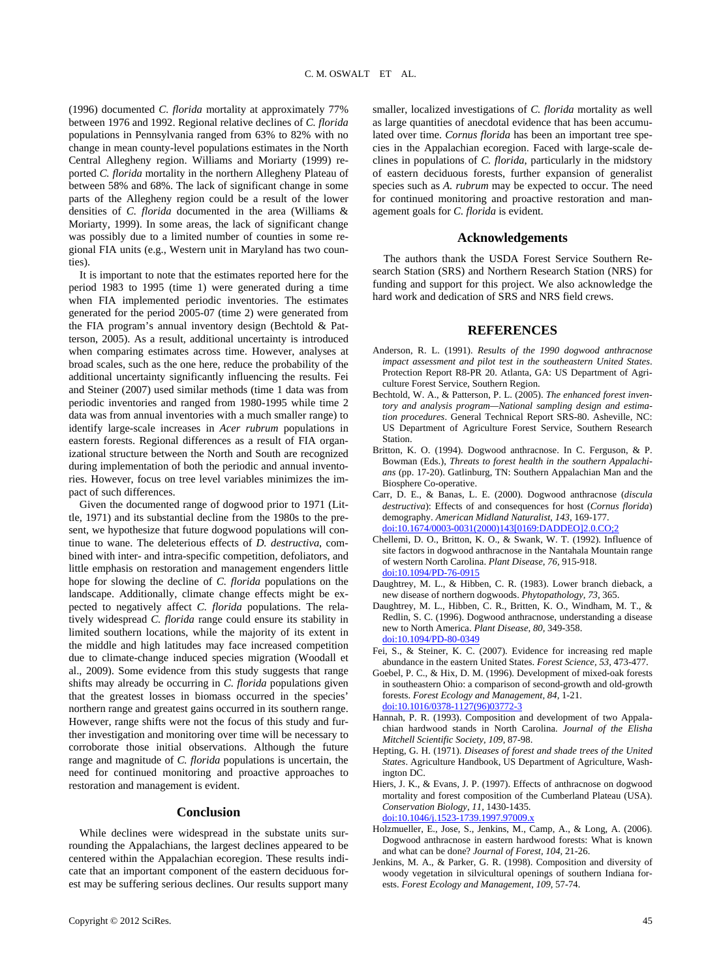(1996) documented *C. florida* mortality at approximately 77% between 1976 and 1992. Regional relative declines of *C. florida* populations in Pennsylvania ranged from 63% to 82% with no change in mean county-level populations estimates in the North Central Allegheny region. Williams and Moriarty (1999) reported *C. florida* mortality in the northern Allegheny Plateau of between 58% and 68%. The lack of significant change in some parts of the Allegheny region could be a result of the lower densities of *C. florida* documented in the area (Williams & Moriarty, 1999). In some areas, the lack of significant change was possibly due to a limited number of counties in some regional FIA units (e.g., Western unit in Maryland has two counties).

It is important to note that the estimates reported here for the period 1983 to 1995 (time 1) were generated during a time when FIA implemented periodic inventories. The estimates generated for the period 2005-07 (time 2) were generated from the FIA program's annual inventory design (Bechtold & Patterson, 2005). As a result, additional uncertainty is introduced when comparing estimates across time. However, analyses at broad scales, such as the one here, reduce the probability of the additional uncertainty significantly influencing the results. Fei and Steiner (2007) used similar methods (time 1 data was from periodic inventories and ranged from 1980-1995 while time 2 data was from annual inventories with a much smaller range) to identify large-scale increases in *Acer rubrum* populations in eastern forests. Regional differences as a result of FIA organizational structure between the North and South are recognized during implementation of both the periodic and annual inventories. However, focus on tree level variables minimizes the impact of such differences.

Given the documented range of dogwood prior to 1971 (Little, 1971) and its substantial decline from the 1980s to the present, we hypothesize that future dogwood populations will continue to wane. The deleterious effects of *D. destructiva*, combined with inter- and intra-specific competition, defoliators, and little emphasis on restoration and management engenders little hope for slowing the decline of *C. florida* populations on the landscape. Additionally, climate change effects might be expected to negatively affect *C. florida* populations. The relatively widespread *C. florida* range could ensure its stability in limited southern locations, while the majority of its extent in the middle and high latitudes may face increased competition due to climate-change induced species migration (Woodall et al., 2009). Some evidence from this study suggests that range shifts may already be occurring in *C. florida* populations given that the greatest losses in biomass occurred in the species' northern range and greatest gains occurred in its southern range. However, range shifts were not the focus of this study and further investigation and monitoring over time will be necessary to corroborate those initial observations. Although the future range and magnitude of *C. florida* populations is uncertain, the need for continued monitoring and proactive approaches to restoration and management is evident.

#### **Conclusion**

While declines were widespread in the substate units surrounding the Appalachians, the largest declines appeared to be centered within the Appalachian ecoregion. These results indicate that an important component of the eastern deciduous forest may be suffering serious declines. Our results support many smaller, localized investigations of *C. florida* mortality as well as large quantities of anecdotal evidence that has been accumulated over time. *Cornus florida* has been an important tree species in the Appalachian ecoregion. Faced with large-scale declines in populations of *C. florida*, particularly in the midstory of eastern deciduous forests, further expansion of generalist species such as *A. rubrum* may be expected to occur. The need for continued monitoring and proactive restoration and management goals for *C. florida* is evident.

#### **Acknowledgements**

The authors thank the USDA Forest Service Southern Research Station (SRS) and Northern Research Station (NRS) for funding and support for this project. We also acknowledge the hard work and dedication of SRS and NRS field crews.

#### **REFERENCES**

- Anderson, R. L. (1991). *Results of the 1990 dogwood anthracnose impact assessment and pilot test in the southeastern United States*. Protection Report R8-PR 20. Atlanta, GA: US Department of Agriculture Forest Service, Southern Region.
- Bechtold, W. A., & Patterson, P. L. (2005). *The enhanced forest inventory and analysis program—National sampling design and estimation procedures*. General Technical Report SRS-80. Asheville, NC: US Department of Agriculture Forest Service, Southern Research Station.
- Britton, K. O. (1994). Dogwood anthracnose. In C. Ferguson, & P. Bowman (Eds.), *Threats to forest health in the southern Appalachians* (pp. 17-20). Gatlinburg, TN: Southern Appalachian Man and the Biosphere Co-operative.
- Carr, D. E., & Banas, L. E. (2000). Dogwood anthracnose (*discula destructiva*): Effects of and consequences for host (*Cornus florida*) demography. *American Midland Naturalist, 143,* 169-177. [doi:10.1674/0003-0031\(2000\)143\[0169:DADDEO\]2.0.CO;2](http://dx.doi.org/10.1674/0003-0031(2000)143%5b0169:DADDEO%5d2.0.CO;2)
- Chellemi, D. O., Britton, K. O., & Swank, W. T. (1992). Influence of site factors in dogwood anthracnose in the Nantahala Mountain range of western North Carolina. *Plant Disease, 76,* 915-918. [doi:10.1094/PD-76-0915](http://dx.doi.org/10.1094/PD-76-0915)
- Daughtrey, M. L., & Hibben, C. R. (1983). Lower branch dieback, a new disease of northern dogwoods. *Phytopathology, 73,* 365.
- Daughtrey, M. L., Hibben, C. R., Britten, K. O., Windham, M. T., & Redlin, S. C. (1996). Dogwood anthracnose, understanding a disease new to North America. *Plant Disease, 80,* 349-358. [doi:10.1094/PD-80-0349](http://dx.doi.org/10.1094/PD-80-0349)
- Fei, S., & Steiner, K. C. (2007). Evidence for increasing red maple abundance in the eastern United States. *Forest Science, 53,* 473-477.
- Goebel, P. C., & Hix, D. M. (1996). Development of mixed-oak forests in southeastern Ohio: a comparison of second-growth and old-growth forests. *Forest Ecology and Management, 84,* 1-21. [doi:10.1016/0378-1127\(96\)03772-3](http://dx.doi.org/10.1016/0378-1127(96)03772-3)
- Hannah, P. R. (1993). Composition and development of two Appalachian hardwood stands in North Carolina. *Journal of the Elisha Mitchell Scientific Society, 109,* 87-98.
- Hepting, G. H. (1971). *Diseases of forest and shade trees of the United States*. Agriculture Handbook, US Department of Agriculture, Washington DC.
- Hiers, J. K., & Evans, J. P. (1997). Effects of anthracnose on dogwood mortality and forest composition of the Cumberland Plateau (USA). *Conservation Biology, 11,* 1430-1435. [doi:10.1046/j.1523-1739.1997.97009.x](http://dx.doi.org/10.1046/j.1523-1739.1997.97009.x)
- Holzmueller, E., Jose, S., Jenkins, M., Camp, A., & Long, A. (2006). Dogwood anthracnose in eastern hardwood forests: What is known and what can be done? *Journal of Forest, 104,* 21-26.
- Jenkins, M. A., & Parker, G. R. (1998). Composition and diversity of woody vegetation in silvicultural openings of southern Indiana forests. *Forest Ecology and Management, 109,* 57-74.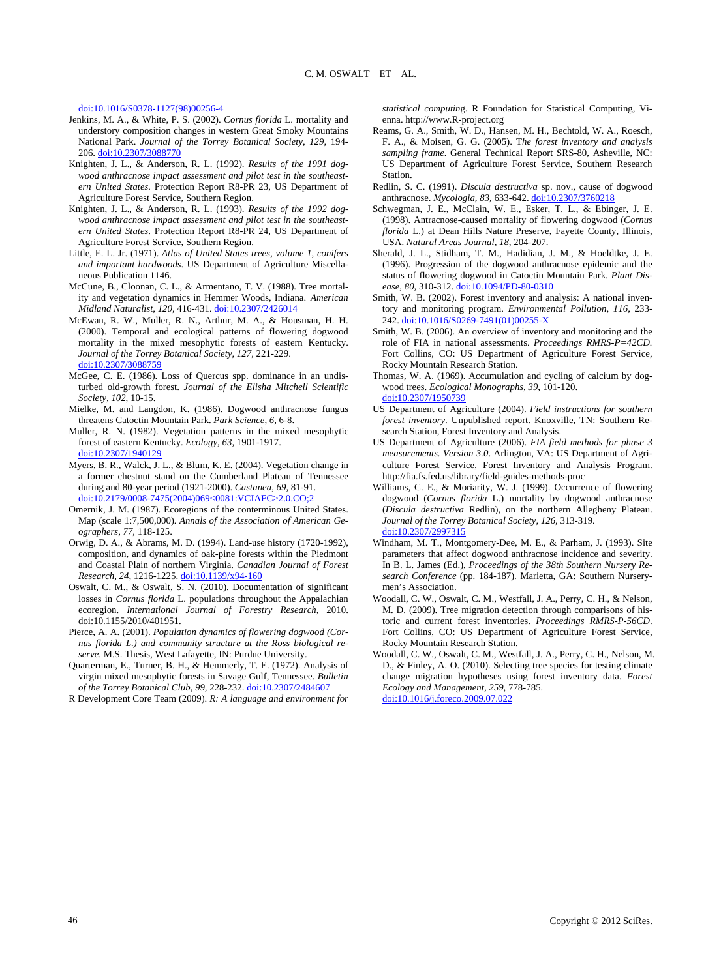[doi:10.1016/S0378-1127\(98\)00256-4](http://dx.doi.org/10.1016/S0378-1127(98)00256-4)

- Jenkins, M. A., & White, P. S. (2002). *Cornus florida* L. mortality and understory composition changes in western Great Smoky Mountains National Park. *Journal of the Torrey Botanical Society, 129,* 194- 206. [doi:10.2307/3088770](http://dx.doi.org/10.2307/3088770)
- Knighten, J. L., & Anderson, R. L. (1992). *Results of the 1991 dogwood anthracnose impact assessment and pilot test in the southeastern United States.* Protection Report R8-PR 23, US Department of Agriculture Forest Service, Southern Region.
- Knighten, J. L., & Anderson, R. L. (1993). *Results of the 1992 dogwood anthracnose impact assessment and pilot test in the southeastern United States*. Protection Report R8-PR 24, US Department of Agriculture Forest Service, Southern Region.
- Little, E. L. Jr. (1971). *Atlas of United States trees, volume 1, conifers and important hardwoods*. US Department of Agriculture Miscellaneous Publication 1146.
- McCune, B., Cloonan, C. L., & Armentano, T. V. (1988). Tree mortality and vegetation dynamics in Hemmer Woods, Indiana. *American Midland Naturalist, 120,* 416-431. [doi:10.2307/2426014](http://dx.doi.org/10.2307/2426014)
- McEwan, R. W., Muller, R. N., Arthur, M. A., & Housman, H. H. (2000). Temporal and ecological patterns of flowering dogwood mortality in the mixed mesophytic forests of eastern Kentucky. *Journal of the Torrey Botanical Society, 127,* 221-229. [doi:10.2307/3088759](http://dx.doi.org/10.2307/3088759)
- McGee, C. E. (1986). Loss of Quercus spp. dominance in an undisturbed old-growth forest. *Journal of the Elisha Mitchell Scientific Society, 102,* 10-15.
- Mielke, M. and Langdon, K. (1986). Dogwood anthracnose fungus threatens Catoctin Mountain Park. *Park Science, 6,* 6-8.
- Muller, R. N. (1982). Vegetation patterns in the mixed mesophytic forest of eastern Kentucky. *Ecology, 63,* 1901-1917. [doi:10.2307/1940129](http://dx.doi.org/10.2307/1940129)
- Myers, B. R., Walck, J. L., & Blum, K. E. (2004). Vegetation change in a former chestnut stand on the Cumberland Plateau of Tennessee during and 80-year period (1921-2000). *Castanea, 69,* 81-91. [doi:10.2179/0008-7475\(2004\)069<0081:VCIAFC>2.0.CO;2](http://dx.doi.org/10.2179/0008-7475(2004)069%3c0081:VCIAFC%3e2.0.CO;2)
- Omernik, J. M. (1987). Ecoregions of the conterminous United States. Map (scale 1:7,500,000). *Annals of the Association of American Geographers, 77,* 118-125.
- Orwig, D. A., & Abrams, M. D. (1994). Land-use history (1720-1992), composition, and dynamics of oak-pine forests within the Piedmont and Coastal Plain of northern Virginia. *Canadian Journal of Forest Research, 24,* 1216-1225. [doi:10.1139/x94-160](http://dx.doi.org/10.1139/x94-160)
- Oswalt, C. M., & Oswalt, S. N. (2010). Documentation of significant losses in *Cornus florida* L. populations throughout the Appalachian ecoregion. *International Journal of Forestry Research,* 2010. doi:10.1155/2010/401951.
- Pierce, A. A. (2001). *Population dynamics of flowering dogwood (Cornus florida L.) and community structure at the Ross biological reserve*. M.S. Thesis, West Lafayette, IN: Purdue University.
- Quarterman, E., Turner, B. H., & Hemmerly, T. E. (1972). Analysis of virgin mixed mesophytic forests in Savage Gulf, Tennessee. *Bulletin of the Torrey Botanical Club, 99,* 228-232. [doi:10.2307/2484607](http://dx.doi.org/10.2307/2484607)
- R Development Core Team (2009). *R: A language and environment for*

*statistical computin*g. R Foundation for Statistical Computing, Vienna. http://www.R-project.org

- Reams, G. A., Smith, W. D., Hansen, M. H., Bechtold, W. A., Roesch, F. A., & Moisen, G. G. (2005). T*he forest inventory and analysis sampling frame*. General Technical Report SRS-80, Asheville, NC: US Department of Agriculture Forest Service, Southern Research **Station**
- Redlin, S. C. (1991). *Discula destructiva* sp. nov., cause of dogwood anthracnose. *Mycologia, 83,* 633-642. [doi:10.2307/3760218](http://dx.doi.org/10.2307/3760218)
- Schwegman, J. E., McClain, W. E., Esker, T. L., & Ebinger, J. E. (1998). Antracnose-caused mortality of flowering dogwood (*Cornus florida* L.) at Dean Hills Nature Preserve, Fayette County, Illinois, USA. *Natural Areas Journal, 18,* 204-207.
- Sherald, J. L., Stidham, T. M., Hadidian, J. M., & Hoeldtke, J. E. (1996). Progression of the dogwood anthracnose epidemic and the status of flowering dogwood in Catoctin Mountain Park. *Plant Disease, 80,* 310-312. [doi:10.1094/PD-80-0310](http://dx.doi.org/10.1094/PD-80-0310)
- Smith, W. B. (2002). Forest inventory and analysis: A national inventory and monitoring program. *Environmental Pollution, 116,* 233- 242. [doi:10.1016/S0269-7491\(01\)00255-X](http://dx.doi.org/10.1016/S0269-7491(01)00255-X)
- Smith, W. B. (2006). An overview of inventory and monitoring and the role of FIA in national assessments. *Proceedings RMRS-P=42CD.* Fort Collins, CO: US Department of Agriculture Forest Service, Rocky Mountain Research Station.
- Thomas, W. A. (1969). Accumulation and cycling of calcium by dogwood trees. *Ecological Monographs, 39,* 101-120. [doi:10.2307/1950739](http://dx.doi.org/10.2307/1950739)
- US Department of Agriculture (2004). *Field instructions for southern forest inventory*. Unpublished report. Knoxville, TN: Southern Research Station, Forest Inventory and Analysis.
- US Department of Agriculture (2006). *FIA field methods for phase 3 measurements. Version 3.0*. Arlington, VA: US Department of Agriculture Forest Service, Forest Inventory and Analysis Program. http://fia.fs.fed.us/library/field-guides-methods-proc
- Williams, C. E., & Moriarity, W. J. (1999). Occurrence of flowering dogwood (*Cornus florida* L.) mortality by dogwood anthracnose (*Discula destructiva* Redlin), on the northern Allegheny Plateau. *Journal of the Torrey Botanical Society, 126,* 313-319. [doi:10.2307/2997315](http://dx.doi.org/10.2307/2997315)
- Windham, M. T., Montgomery-Dee, M. E., & Parham, J. (1993). Site parameters that affect dogwood anthracnose incidence and severity. In B. L. James (Ed.), *Proceedings of the 38th Southern Nursery Research Conference* (pp. 184-187). Marietta, GA: Southern Nurserymen's Association.
- Woodall, C. W., Oswalt, C. M., Westfall, J. A., Perry, C. H., & Nelson, M. D. (2009). Tree migration detection through comparisons of historic and current forest inventories. *Proceedings RMRS-P-56CD*. Fort Collins, CO: US Department of Agriculture Forest Service, Rocky Mountain Research Station.
- Woodall, C. W., Oswalt, C. M., Westfall, J. A., Perry, C. H., Nelson, M. D., & Finley, A. O. (2010). Selecting tree species for testing climate change migration hypotheses using forest inventory data. *Forest Ecology and Management, 259,* 778-785. [doi:10.1016/j.foreco.2009.07.022](http://dx.doi.org/10.1016/j.foreco.2009.07.022)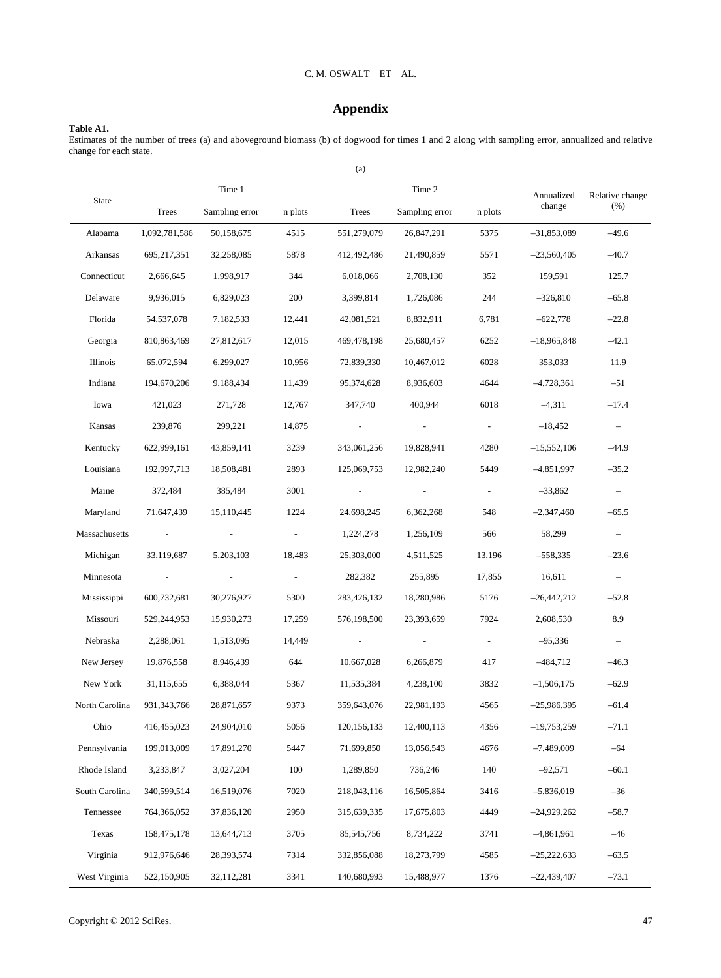#### C. M. OSWALT ET AL.

# **Appendix**

# **Table A1.**

Estimates of the number of trees (a) and aboveground biomass (b) of dogwood for times 1 and 2 along with sampling error, annualized and relative change for each state.

|                |                          |                |                          | (a)             |                |                |               |                          |  |
|----------------|--------------------------|----------------|--------------------------|-----------------|----------------|----------------|---------------|--------------------------|--|
|                |                          | Time 1         | Annualized               | Relative change |                |                |               |                          |  |
| State          | Trees                    | Sampling error | n plots                  | Trees           | Sampling error | n plots        | change        | (% )                     |  |
| Alabama        | 1,092,781,586            | 50,158,675     | 4515                     | 551,279,079     | 26,847,291     | 5375           | $-31,853,089$ | $-49.6$                  |  |
| Arkansas       | 695,217,351              | 32,258,085     | 5878                     | 412,492,486     | 21,490,859     | 5571           | $-23,560,405$ | $-40.7$                  |  |
| Connecticut    | 2,666,645                | 1,998,917      | 344                      | 6,018,066       | 2,708,130      | 352            | 159,591       | 125.7                    |  |
| Delaware       | 9,936,015                | 6,829,023      | 200                      | 3,399,814       | 1,726,086      | 244            | $-326,810$    | $-65.8$                  |  |
| Florida        | 54, 537, 078             | 7,182,533      | 12,441                   | 42,081,521      | 8,832,911      | 6,781          | $-622,778$    | $-22.8$                  |  |
| Georgia        | 810,863,469              | 27,812,617     | 12,015                   | 469,478,198     | 25,680,457     | 6252           | $-18,965,848$ | $-42.1$                  |  |
| Illinois       | 65,072,594               | 6,299,027      | 10,956                   | 72,839,330      | 10,467,012     | 6028           | 353,033       | 11.9                     |  |
| Indiana        | 194,670,206              | 9,188,434      | 11,439                   | 95,374,628      | 8,936,603      | 4644           | $-4,728,361$  | $-51$                    |  |
| Iowa           | 421,023                  | 271,728        | 12,767                   | 347,740         | 400.944        | 6018           | $-4,311$      | $-17.4$                  |  |
| Kansas         | 239,876                  | 299,221        | 14,875                   |                 |                |                | $-18,452$     | $\equiv$                 |  |
| Kentucky       | 622,999,161              | 43,859,141     | 3239                     | 343,061,256     | 19,828,941     | 4280           | $-15,552,106$ | $-44.9$                  |  |
| Louisiana      | 192,997,713              | 18,508,481     | 2893                     | 125,069,753     | 12,982,240     | 5449           | $-4,851,997$  | $-35.2$                  |  |
| Maine          | 372,484                  | 385,484        | 3001                     | $\blacksquare$  | $\sim$         | $\blacksquare$ | $-33,862$     | $\overline{\phantom{a}}$ |  |
| Maryland       | 71,647,439               | 15,110,445     | 1224                     | 24,698,245      | 6,362,268      | 548            | $-2,347,460$  | $-65.5$                  |  |
| Massachusetts  | $\sim$ $-$               |                |                          | 1,224,278       | 1,256,109      | 566            | 58,299        | $\overline{\phantom{a}}$ |  |
| Michigan       | 33,119,687               | 5,203,103      | 18,483                   | 25,303,000      | 4,511,525      | 13,196         | $-558,335$    | $-23.6$                  |  |
| Minnesota      | $\overline{\phantom{a}}$ |                | $\overline{\phantom{a}}$ | 282,382         | 255,895        | 17,855         | 16,611        |                          |  |
| Mississippi    | 600,732,681              | 30,276,927     | 5300                     | 283,426,132     | 18,280,986     | 5176           | $-26,442,212$ | $-52.8$                  |  |
| Missouri       | 529,244,953              | 15,930,273     | 17,259                   | 576,198,500     | 23,393,659     | 7924           | 2,608,530     | 8.9                      |  |
| Nebraska       | 2,288,061                | 1,513,095      | 14,449                   |                 |                |                | $-95,336$     |                          |  |
| New Jersey     | 19,876,558               | 8,946,439      | 644                      | 10,667,028      | 6,266,879      | 417            | $-484,712$    | $-46.3$                  |  |
| New York       | 31,115,655               | 6,388,044      | 5367                     | 11,535,384      | 4,238,100      | 3832           | $-1,506,175$  | $-62.9$                  |  |
| North Carolina | 931, 343, 766            | 28,871,657     | 9373                     | 359,643,076     | 22,981,193     | 4565           | $-25,986,395$ | $-61.4$                  |  |
| Ohio           | 416,455,023              | 24,904,010     | 5056                     | 120, 156, 133   | 12,400,113     | 4356           | $-19,753,259$ | $-71.1$                  |  |
| Pennsylvania   | 199,013,009              | 17,891,270     | 5447                     | 71,699,850      | 13,056,543     | 4676           | $-7,489,009$  | $-64$                    |  |
| Rhode Island   | 3,233,847                | 3,027,204      | 100                      | 1,289,850       | 736,246        | 140            | $-92,571$     | $-60.1$                  |  |
| South Carolina | 340,599,514              | 16,519,076     | 7020                     | 218,043,116     | 16,505,864     | 3416           | $-5,836,019$  | $-36$                    |  |
| Tennessee      | 764,366,052              | 37,836,120     | 2950                     | 315,639,335     | 17,675,803     | 4449           | $-24,929,262$ | $-58.7$                  |  |
| Texas          | 158,475,178              | 13,644,713     | 3705                     | 85,545,756      | 8,734,222      | 3741           | $-4,861,961$  | $-46$                    |  |
| Virginia       | 912,976,646              | 28,393,574     | 7314                     | 332,856,088     | 18,273,799     | 4585           | $-25,222,633$ | $-63.5$                  |  |
| West Virginia  | 522,150,905              | 32,112,281     | 3341                     | 140,680,993     | 15,488,977     | 1376           | $-22,439,407$ | $-73.1$                  |  |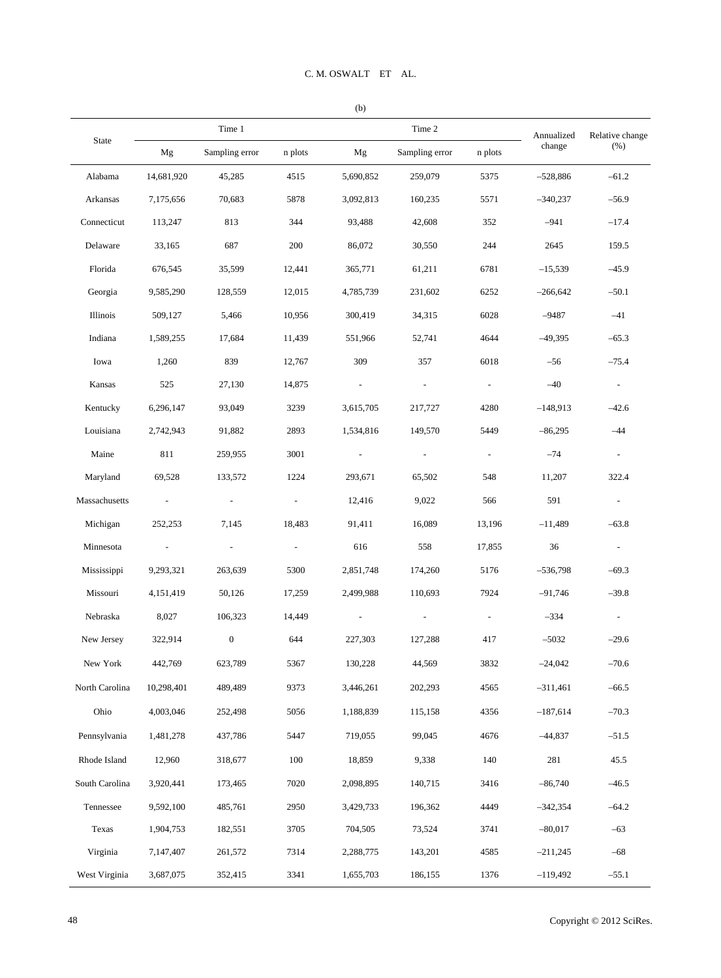|                |                             | Time 1           |                          |           | Time 2                   | Annualized     | Relative change |                          |
|----------------|-----------------------------|------------------|--------------------------|-----------|--------------------------|----------------|-----------------|--------------------------|
| State          | Mg                          | Sampling error   | n plots                  | Mg        | Sampling error           | n plots        | change          | (%)                      |
| Alabama        | 14,681,920                  | 45,285           | 4515                     | 5,690,852 | 259,079                  | 5375           | $-528,886$      | $-61.2$                  |
| Arkansas       | 7,175,656                   | 70,683           | 5878                     | 3,092,813 | 160,235                  | 5571           | $-340,237$      | $-56.9$                  |
| Connecticut    | 113,247                     | 813              | 344                      | 93,488    | 42,608                   | 352            | $-941$          | $-17.4$                  |
| Delaware       | 33,165                      | 687              | 200                      | 86,072    | 30,550                   | 244            | 2645            | 159.5                    |
| Florida        | 676,545                     | 35,599           | 12,441                   | 365,771   | 61,211                   | 6781           | $-15,539$       | $-45.9$                  |
| Georgia        | 9,585,290                   | 128,559          | 12,015                   | 4,785,739 | 231,602                  | 6252           | $-266,642$      | $-50.1$                  |
| Illinois       | 509,127                     | 5,466            | 10,956                   | 300,419   | 34,315                   | 6028           | $-9487$         | $-41$                    |
| Indiana        | 1,589,255                   | 17,684           | 11,439                   | 551,966   | 52,741                   | 4644           | $-49,395$       | $-65.3$                  |
| Iowa           | 1,260                       | 839              | 12,767                   | 309       | 357                      | 6018           | $-56$           | $-75.4$                  |
| Kansas         | 525                         | 27,130           | 14,875                   |           | $\blacksquare$           | $\blacksquare$ | $-40$           | $\blacksquare$           |
| Kentucky       | 6,296,147                   | 93,049           | 3239                     | 3,615,705 | 217,727                  | 4280           | $-148,913$      | $-42.6$                  |
| Louisiana      | 2,742,943                   | 91,882           | 2893                     | 1,534,816 | 149,570                  | 5449           | $-86,295$       | $-44$                    |
| Maine          | 811                         | 259,955          | 3001                     |           | $\overline{\phantom{a}}$ | $\blacksquare$ | $-74$           | $\sim$                   |
| Maryland       | 69,528                      | 133,572          | 1224                     | 293,671   | 65,502                   | 548            | 11,207          | 322.4                    |
| Massachusetts  | $\mathcal{L}_{\mathcal{A}}$ | $\blacksquare$   | $\overline{\phantom{a}}$ | 12,416    | 9,022                    | 566            | 591             | $\overline{\phantom{a}}$ |
| Michigan       | 252,253                     | 7,145            | 18,483                   | 91,411    | 16,089                   | 13,196         | $-11,489$       | $-63.8$                  |
| Minnesota      | $\blacksquare$              | $\sim$           | $\overline{\phantom{a}}$ | 616       | 558                      | 17,855         | 36              | $\sim$                   |
| Mississippi    | 9,293,321                   | 263,639          | 5300                     | 2,851,748 | 174,260                  | 5176           | $-536,798$      | $-69.3$                  |
| Missouri       | 4,151,419                   | 50,126           | 17,259                   | 2,499,988 | 110,693                  | 7924           | $-91,746$       | $-39.8$                  |
| Nebraska       | 8,027                       | 106,323          | 14,449                   |           | $\overline{\phantom{a}}$ | $\blacksquare$ | $-334$          | $\sim$                   |
| New Jersey     | 322,914                     | $\boldsymbol{0}$ | 644                      | 227,303   | 127,288                  | 417            | $-5032$         | $-29.6$                  |
| New York       | 442,769                     | 623,789          | 5367                     | 130,228   | 44,569                   | 3832           | $-24,042$       | $-70.6$                  |
| North Carolina | 10,298,401                  | 489,489          | 9373                     | 3,446,261 | 202,293                  | 4565           | $-311,461$      | $-66.5$                  |
| Ohio           | 4,003,046                   | 252,498          | 5056                     | 1,188,839 | 115,158                  | 4356           | $-187,614$      | $-70.3$                  |
| Pennsylvania   | 1,481,278                   | 437,786          | 5447                     | 719,055   | 99,045                   | 4676           | $-44,837$       | $-51.5$                  |
| Rhode Island   | 12,960                      | 318,677          | 100                      | 18,859    | 9,338                    | 140            | 281             | 45.5                     |
| South Carolina | 3,920,441                   | 173,465          | 7020                     | 2,098,895 | 140,715                  | 3416           | $-86,740$       | $-46.5$                  |
| Tennessee      | 9,592,100                   | 485,761          | 2950                     | 3,429,733 | 196,362                  | 4449           | $-342,354$      | $-64.2$                  |
| Texas          | 1,904,753                   | 182,551          | 3705                     | 704,505   | 73,524                   | 3741           | $-80,017$       | $-63$                    |
| Virginia       | 7,147,407                   | 261,572          | 7314                     | 2,288,775 | 143,201                  | 4585           | $-211,245$      | $-68$                    |
| West Virginia  | 3,687,075                   | 352,415          | 3341                     | 1,655,703 | 186,155                  | 1376           | $-119,492$      | $-55.1$                  |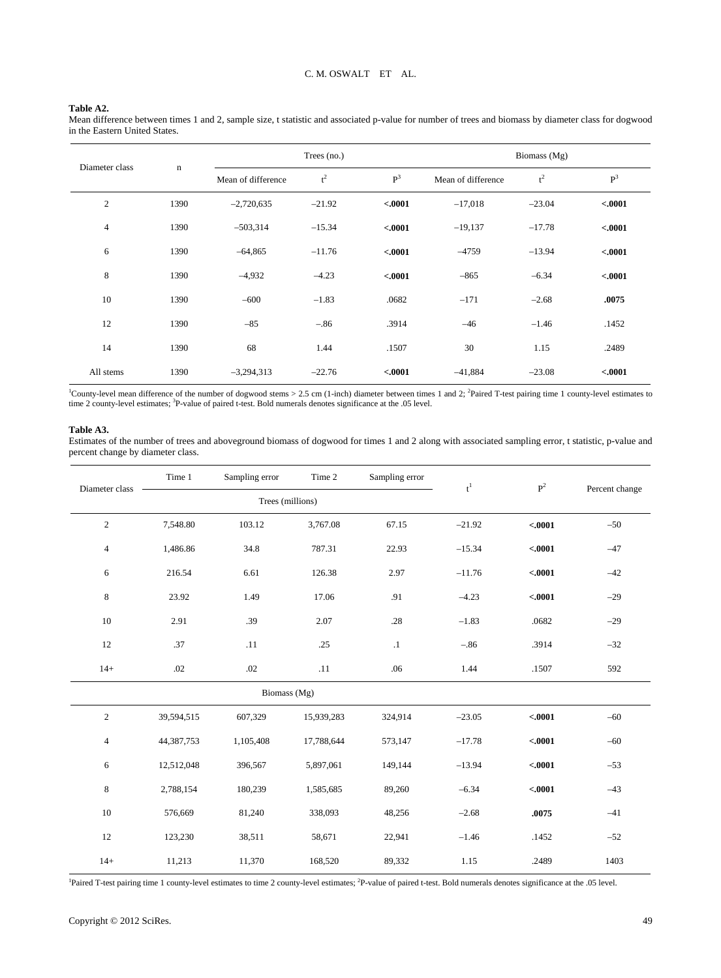#### **Table A2.**

Mean difference between times 1 and 2, sample size, t statistic and associated p-value for number of trees and biomass by diameter class for dogwood in the Eastern United States.

| Diameter class |             | Trees (no.)        |          |          | Biomass (Mg)       |          |                |  |  |
|----------------|-------------|--------------------|----------|----------|--------------------|----------|----------------|--|--|
|                | $\mathbf n$ | Mean of difference | $t^2$    | $P^3$    | Mean of difference | $t^2$    | P <sup>3</sup> |  |  |
| $\mathfrak{2}$ | 1390        | $-2,720,635$       | $-21.92$ | < .0001  | $-17,018$          | $-23.04$ | < .0001        |  |  |
| $\overline{4}$ | 1390        | $-503,314$         | $-15.34$ | < .0001  | $-19,137$          | $-17.78$ | < .0001        |  |  |
| 6              | 1390        | $-64,865$          | $-11.76$ | < .0001  | $-4759$            | $-13.94$ | < .0001        |  |  |
| 8              | 1390        | $-4,932$           | $-4.23$  | $-.0001$ | $-865$             | $-6.34$  | < .0001        |  |  |
| 10             | 1390        | $-600$             | $-1.83$  | .0682    | $-171$             | $-2.68$  | .0075          |  |  |
| 12             | 1390        | $-85$              | $-.86$   | .3914    | $-46$              | $-1.46$  | .1452          |  |  |
| 14             | 1390        | 68                 | 1.44     | .1507    | 30                 | 1.15     | .2489          |  |  |
| All stems      | 1390        | $-3,294,313$       | $-22.76$ | $-.0001$ | $-41,884$          | $-23.08$ | < .0001        |  |  |

<sup>1</sup>County-level mean difference of the number of dogwood stems  $> 2.5$  cm (1-inch) diameter between times 1 and 2; <sup>2</sup>Paired T-test pairing time 1 county-level estimates to time 2 county-level estimates; <sup>3</sup>P-value of paired t-test. Bold numerals denotes significance at the .05 level.

#### **Table A3.**

Estimates of the number of trees and aboveground biomass of dogwood for times 1 and 2 along with associated sampling error, t statistic, p-value and percent change by diameter class.

| Diameter class | Time 1       | Sampling error   | Time 2     | Sampling error | $\mathbf{t}^1$ | $\mathbf{P}^2$ | Percent change |
|----------------|--------------|------------------|------------|----------------|----------------|----------------|----------------|
|                |              | Trees (millions) |            |                |                |                |                |
| $\sqrt{2}$     | 7,548.80     | 103.12           | 3,767.08   | 67.15          | $-21.92$       | $-.0001$       | $-50$          |
| $\overline{4}$ | 1,486.86     | 34.8             | 787.31     | 22.93          | $-15.34$       | < .0001        | $-47$          |
| 6              | 216.54       | 6.61             | 126.38     | 2.97           | $-11.76$       | < .0001        | $-42$          |
| $\,8\,$        | 23.92        | 1.49             | 17.06      | .91            | $-4.23$        | $-.0001$       | $-29$          |
| 10             | 2.91         | .39              | 2.07       | .28            | $-1.83$        | .0682          | $-29$          |
| 12             | .37          | .11              | .25        | $\cdot$ 1      | $-.86$         | .3914          | $-32$          |
| $14+$          | .02          | .02              | .11        | .06            | 1.44           | .1507          | 592            |
|                |              | Biomass (Mg)     |            |                |                |                |                |
| $\overline{c}$ | 39,594,515   | 607,329          | 15,939,283 | 324,914        | $-23.05$       | < .0001        | $-60$          |
| $\overline{4}$ | 44, 387, 753 | 1,105,408        | 17,788,644 | 573,147        | $-17.78$       | < .0001        | $-60$          |
| 6              | 12,512,048   | 396,567          | 5,897,061  | 149,144        | $-13.94$       | $-.0001$       | $-53$          |
| 8              | 2,788,154    | 180,239          | 1,585,685  | 89,260         | $-6.34$        | $-.0001$       | $-43$          |
| 10             | 576,669      | 81,240           | 338,093    | 48,256         | $-2.68$        | .0075          | $-41$          |
| 12             | 123,230      | 38,511           | 58,671     | 22,941         | $-1.46$        | .1452          | $-52$          |
| $14+$          | 11,213       | 11,370           | 168,520    | 89,332         | 1.15           | .2489          | 1403           |

<sup>1</sup>Paired T-test pairing time 1 county-level estimates to time 2 county-level estimates; <sup>2</sup>P-value of paired t-test. Bold numerals denotes significance at the .05 level.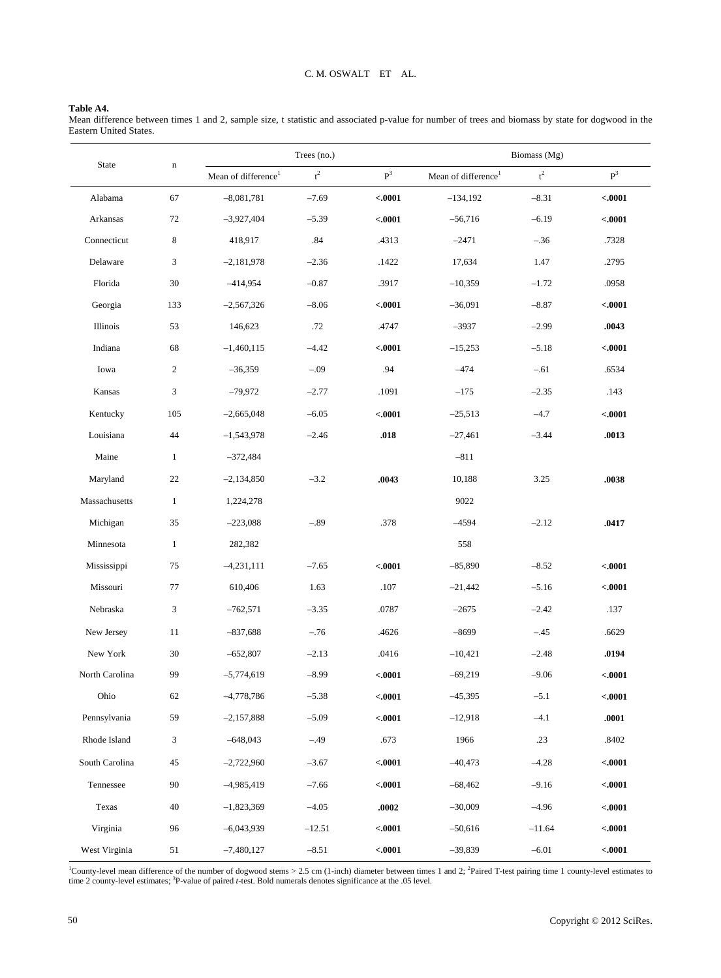# **Table A4.**

Mean difference between times 1 and 2, sample size, t statistic and associated p-value for number of trees and biomass by state for dogwood in the Eastern United States.

| State          | $\mathbf n$  |                                 | Trees (no.)    |                |                                 | Biomass (Mg)   |                |
|----------------|--------------|---------------------------------|----------------|----------------|---------------------------------|----------------|----------------|
|                |              | Mean of difference <sup>1</sup> | $\mathbf{t}^2$ | P <sup>3</sup> | Mean of difference <sup>1</sup> | $\mathbf{t}^2$ | P <sup>3</sup> |
| Alabama        | 67           | $-8,081,781$                    | $-7.69$        | $-.0001$       | $-134,192$                      | $-8.31$        | $-.0001$       |
| Arkansas       | 72           | $-3,927,404$                    | $-5.39$        | < .0001        | $-56,716$                       | $-6.19$        | < .0001        |
| Connecticut    | 8            | 418,917                         | .84            | .4313          | $-2471$                         | $-.36$         | .7328          |
| Delaware       | 3            | $-2,181,978$                    | $-2.36$        | .1422          | 17,634                          | 1.47           | .2795          |
| Florida        | 30           | $-414,954$                      | $-0.87$        | .3917          | $-10,359$                       | $-1.72$        | .0958          |
| Georgia        | 133          | $-2,567,326$                    | $-8.06$        | < .0001        | $-36,091$                       | $-8.87$        | $-.0001$       |
| Illinois       | 53           | 146,623                         | .72            | .4747          | $-3937$                         | $-2.99$        | .0043          |
| Indiana        | 68           | $-1,460,115$                    | $-4.42$        | < .0001        | $-15,253$                       | $-5.18$        | < .0001        |
| Iowa           | $\mathbf{2}$ | $-36,359$                       | $-.09$         | .94            | $-474$                          | $-.61$         | .6534          |
| Kansas         | 3            | $-79,972$                       | $-2.77$        | .1091          | $-175$                          | $-2.35$        | .143           |
| Kentucky       | 105          | $-2,665,048$                    | $-6.05$        | < .0001        | $-25,513$                       | $-4.7$         | $-.0001$       |
| Louisiana      | 44           | $-1,543,978$                    | $-2.46$        | .018           | $-27,461$                       | $-3.44$        | .0013          |
| Maine          | $\mathbf{1}$ | $-372,484$                      |                |                | $-811$                          |                |                |
| Maryland       | 22           | $-2,134,850$                    | $-3.2$         | .0043          | 10,188                          | 3.25           | .0038          |
| Massachusetts  | $\mathbf{1}$ | 1,224,278                       |                |                | 9022                            |                |                |
| Michigan       | 35           | $-223,088$                      | $-.89$         | .378           | $-4594$                         | $-2.12$        | .0417          |
| Minnesota      | $\mathbf{1}$ | 282,382                         |                |                | 558                             |                |                |
| Mississippi    | 75           | $-4,231,111$                    | $-7.65$        | < .0001        | $-85,890$                       | $-8.52$        | < .0001        |
| Missouri       | 77           | 610,406                         | 1.63           | .107           | $-21,442$                       | $-5.16$        | < .0001        |
| Nebraska       | 3            | $-762,571$                      | $-3.35$        | .0787          | $-2675$                         | $-2.42$        | .137           |
| New Jersey     | 11           | $-837,688$                      | $-.76$         | .4626          | $-8699$                         | $-.45$         | .6629          |
| New York       | 30           | $-652,807$                      | $-2.13$        | .0416          | $-10,421$                       | $-2.48$        | .0194          |
| North Carolina | 99           | $-5,774,619$                    | $-8.99$        | < .0001        | $-69,219$                       | $-9.06$        | < .0001        |
| Ohio           | 62           | $-4,778,786$                    | $-5.38$        | < .0001        | $-45,395$                       | $-5.1$         | $-.0001$       |
| Pennsylvania   | 59           | $-2,157,888$                    | $-5.09$        | < .0001        | $-12,918$                       | $-4.1$         | .0001          |
| Rhode Island   | 3            | $-648,043$                      | $-.49$         | .673           | 1966                            | .23            | .8402          |
| South Carolina | 45           | $-2,722,960$                    | $-3.67$        | < .0001        | $-40,473$                       | $-4.28$        | $-.0001$       |
| Tennessee      | 90           | $-4,985,419$                    | $-7.66$        | < .0001        | $-68,462$                       | $-9.16$        | $-.0001$       |
| Texas          | 40           | $-1,823,369$                    | $-4.05$        | .0002          | $-30,009$                       | $-4.96$        | $-.0001$       |
| Virginia       | 96           | $-6,043,939$                    | $-12.51$       | < .0001        | $-50,616$                       | $-11.64$       | $-.0001$       |
| West Virginia  | 51           | $-7,480,127$                    | $-8.51$        | < .0001        | $-39,839$                       | $-6.01$        | < .0001        |

<sup>1</sup>County-level mean difference of the number of dogwood stems > 2.5 cm (1-inch) diameter between times 1 and 2; <sup>2</sup>Paired T-test pairing time 1 county-level estimates to time 2 county-level estimates <sup>3</sup>P-value of paired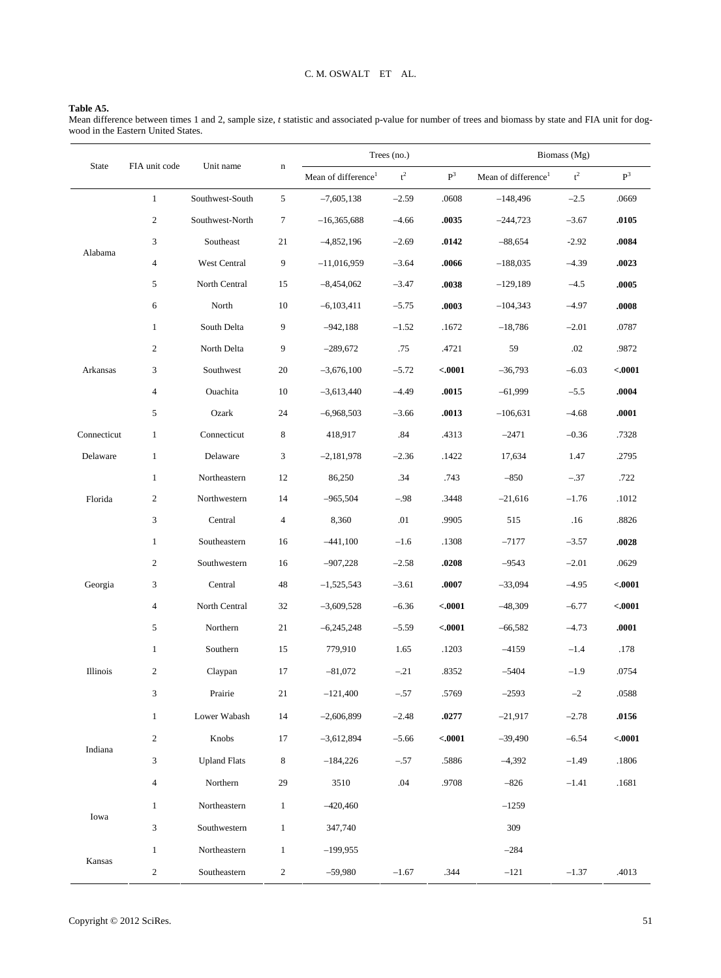#### **Table A5.**

Mean difference between times 1 and 2, sample size, *t* statistic and associated p-value for number of trees and biomass by state and FIA unit for dogwood in the Eastern United States.

|             |                  |                     |                |                                 | Trees (no.)      |                |                                 | Biomass (Mg)   |                |
|-------------|------------------|---------------------|----------------|---------------------------------|------------------|----------------|---------------------------------|----------------|----------------|
| State       | FIA unit code    | Unit name           | n              | Mean of difference <sup>1</sup> | $\mathfrak{t}^2$ | $\mathbf{P}^3$ | Mean of difference <sup>1</sup> | $\mathbf{t}^2$ | $\mathbf{P}^3$ |
|             | $\mathbf{1}$     | Southwest-South     | 5              | $-7,605,138$                    | $-2.59$          | .0608          | $-148,496$                      | $-2.5$         | .0669          |
|             | $\boldsymbol{2}$ | Southwest-North     | 7              | $-16,365,688$                   | $-4.66$          | .0035          | $-244,723$                      | $-3.67$        | .0105          |
|             | 3                | Southeast           | 21             | $-4,852,196$                    | $-2.69$          | .0142          | $-88,654$                       | $-2.92$        | .0084          |
| Alabama     | 4                | West Central        | 9              | $-11,016,959$                   | $-3.64$          | .0066          | $-188,035$                      | $-4.39$        | .0023          |
|             | 5                | North Central       | 15             | $-8,454,062$                    | $-3.47$          | .0038          | $-129,189$                      | $-4.5$         | .0005          |
|             | 6                | North               | $10\,$         | $-6,103,411$                    | $-5.75$          | .0003          | $-104,343$                      | $-4.97$        | .0008          |
|             | $\mathbf{1}$     | South Delta         | 9              | $-942,188$                      | $-1.52$          | .1672          | $-18,786$                       | $-2.01$        | .0787          |
|             | $\boldsymbol{2}$ | North Delta         | 9              | $-289,672$                      | .75              | .4721          | 59                              | .02            | .9872          |
| Arkansas    | 3                | Southwest           | 20             | $-3,676,100$                    | $-5.72$          | < .0001        | $-36,793$                       | $-6.03$        | $-.0001$       |
|             | 4                | Ouachita            | 10             | $-3,613,440$                    | $-4.49$          | .0015          | $-61,999$                       | $-5.5$         | .0004          |
|             | 5                | Ozark               | 24             | $-6,968,503$                    | $-3.66$          | .0013          | $-106,631$                      | $-4.68$        | .0001          |
| Connecticut | 1                | Connecticut         | 8              | 418,917                         | .84              | .4313          | $-2471$                         | $-0.36$        | .7328          |
| Delaware    | $\mathbf{1}$     | Delaware            | 3              | $-2,181,978$                    | $-2.36$          | .1422          | 17,634                          | 1.47           | .2795          |
|             | $\mathbf{1}$     | Northeastern        | 12             | 86,250                          | .34              | .743           | $-850$                          | $-.37$         | .722           |
| Florida     | $\boldsymbol{2}$ | Northwestern        | 14             | $-965,504$                      | $-.98$           | .3448          | $-21,616$                       | $-1.76$        | .1012          |
|             | 3                | Central             | 4              | 8,360                           | .01              | .9905          | 515                             | .16            | .8826          |
|             | $\mathbf{1}$     | Southeastern        | 16             | $-441,100$                      | $-1.6$           | .1308          | $-7177$                         | $-3.57$        | .0028          |
|             | 2                | Southwestern        | 16             | $-907,228$                      | $-2.58$          | .0208          | $-9543$                         | $-2.01$        | .0629          |
| Georgia     | 3                | Central             | 48             | $-1,525,543$                    | $-3.61$          | .0007          | $-33,094$                       | $-4.95$        | $-.0001$       |
|             | 4                | North Central       | 32             | $-3,609,528$                    | $-6.36$          | < .0001        | $-48,309$                       | $-6.77$        | $-.0001$       |
|             | 5                | Northern            | 21             | $-6,245,248$                    | $-5.59$          | < .0001        | $-66,582$                       | $-4.73$        | .0001          |
|             | $\mathbf{1}$     | Southern            | 15             | 779,910                         | 1.65             | .1203          | $-4159$                         | $-1.4$         | .178           |
| Illinois    | $\boldsymbol{2}$ | Claypan             | 17             | $-81,072$                       | $-.21$           | .8352          | $-5404$                         | $-1.9$         | .0754          |
|             | 3                | Prairie             | 21             | $-121,400$                      | $-.57$           | .5769          | $-2593$                         | $-2$           | .0588          |
|             | $\mathbf{1}$     | Lower Wabash        | 14             | $-2,606,899$                    | $-2.48$          | .0277          | $-21,917$                       | $-2.78$        | .0156          |
|             | $\boldsymbol{2}$ | Knobs               | 17             | $-3,612,894$                    | $-5.66$          | < .0001        | $-39,490$                       | $-6.54$        | < .0001        |
| Indiana     | 3                | <b>Upland Flats</b> | 8              | $-184,226$                      | $-.57$           | .5886          | $-4,392$                        | $-1.49$        | .1806          |
|             | $\overline{4}$   | Northern            | 29             | 3510                            | .04              | .9708          | $-826$                          | $-1.41$        | .1681          |
|             | $\mathbf{1}$     | Northeastern        | $\mathbf{1}$   | $-420,460$                      |                  |                | $-1259$                         |                |                |
| Iowa        | 3                | Southwestern        | $\mathbf{1}$   | 347,740                         |                  |                | 309                             |                |                |
|             | $\mathbf{1}$     | Northeastern        | $\mathbf{1}$   | $-199,955$                      |                  |                | $-284$                          |                |                |
| Kansas      | 2                | Southeastern        | $\overline{c}$ | $-59,980$                       | $-1.67$          | .344           | $-121$                          | $-1.37$        | .4013          |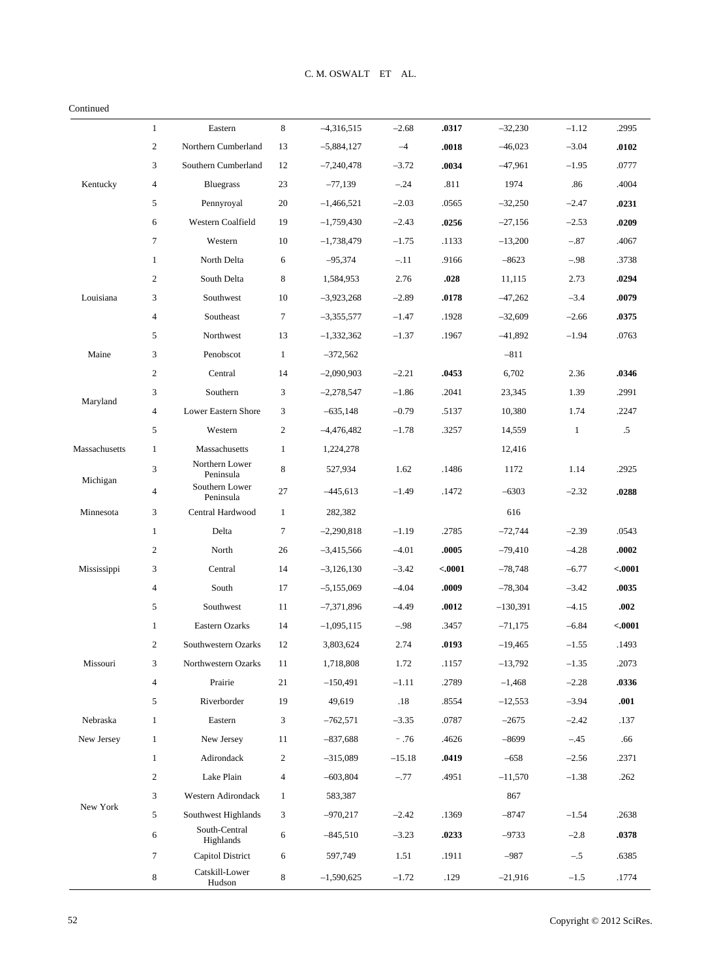#### Continued

|               | $\mathbf{1}$     | Eastern                     | 8              | $-4,316,515$ | $-2.68$  | .0317   | $-32,230$  | $-1.12$      | .2995   |
|---------------|------------------|-----------------------------|----------------|--------------|----------|---------|------------|--------------|---------|
|               | $\boldsymbol{2}$ | Northern Cumberland         | 13             | $-5,884,127$ | $-4$     | .0018   | $-46,023$  | $-3.04$      | .0102   |
|               | 3                | Southern Cumberland         | 12             | $-7,240,478$ | $-3.72$  | .0034   | $-47,961$  | $-1.95$      | .0777   |
| Kentucky      | 4                | <b>Bluegrass</b>            | 23             | $-77,139$    | $-.24$   | .811    | 1974       | .86          | .4004   |
|               | 5                | Pennyroyal                  | 20             | $-1,466,521$ | $-2.03$  | .0565   | $-32,250$  | $-2.47$      | .0231   |
|               | 6                | Western Coalfield           | 19             | $-1,759,430$ | $-2.43$  | .0256   | $-27,156$  | $-2.53$      | .0209   |
|               | 7                | Western                     | 10             | $-1,738,479$ | $-1.75$  | .1133   | $-13,200$  | $-.87$       | .4067   |
|               | $\mathbf{1}$     | North Delta                 | 6              | $-95,374$    | $-.11$   | .9166   | $-8623$    | $-.98$       | .3738   |
|               | $\mathfrak{2}$   | South Delta                 | 8              | 1,584,953    | 2.76     | .028    | 11,115     | 2.73         | .0294   |
| Louisiana     | 3                | Southwest                   | 10             | $-3,923,268$ | $-2.89$  | .0178   | $-47,262$  | $-3.4$       | .0079   |
|               | 4                | Southeast                   | 7              | $-3,355,577$ | $-1.47$  | .1928   | $-32,609$  | $-2.66$      | .0375   |
|               | 5                | Northwest                   | 13             | $-1,332,362$ | $-1.37$  | .1967   | $-41,892$  | $-1.94$      | .0763   |
| Maine         | 3                | Penobscot                   | $\mathbf{1}$   | $-372,562$   |          |         | $-811$     |              |         |
|               | $\boldsymbol{2}$ | Central                     | 14             | $-2,090,903$ | $-2.21$  | .0453   | 6,702      | 2.36         | .0346   |
|               | 3                | Southern                    | 3              | $-2,278,547$ | $-1.86$  | .2041   | 23,345     | 1.39         | .2991   |
| Maryland      | 4                | Lower Eastern Shore         | 3              | $-635,148$   | $-0.79$  | .5137   | 10,380     | 1.74         | .2247   |
|               | 5                | Western                     | $\overline{c}$ | $-4,476,482$ | $-1.78$  | .3257   | 14,559     | $\mathbf{1}$ | $.5\,$  |
| Massachusetts | $\mathbf{1}$     | Massachusetts               | $\mathbf{1}$   | 1,224,278    |          |         | 12,416     |              |         |
| Michigan      | 3                | Northern Lower<br>Peninsula | 8              | 527,934      | 1.62     | .1486   | 1172       | 1.14         | .2925   |
|               | 4                | Southern Lower<br>Peninsula | 27             | $-445,613$   | $-1.49$  | .1472   | $-6303$    | $-2.32$      | .0288   |
| Minnesota     | 3                | Central Hardwood            | $\mathbf{1}$   | 282,382      |          |         | 616        |              |         |
|               | $\mathbf{1}$     | Delta                       | 7              | $-2,290,818$ | $-1.19$  | .2785   | $-72,744$  | $-2.39$      | .0543   |
|               | 2                | North                       | 26             | $-3,415,566$ | $-4.01$  | .0005   | $-79,410$  | $-4.28$      | .0002   |
| Mississippi   | 3                | Central                     | 14             | $-3,126,130$ | $-3.42$  | $-0001$ | $-78,748$  | $-6.77$      | < .0001 |
|               | $\overline{4}$   | South                       | 17             | $-5,155,069$ | $-4.04$  | .0009   | $-78,304$  | $-3.42$      | .0035   |
|               | 5                | Southwest                   | 11             | $-7,371,896$ | $-4.49$  | .0012   | $-130,391$ | $-4.15$      | .002    |
|               | $\mathbf{1}$     | Eastern Ozarks              | 14             | $-1,095,115$ | $-.98$   | .3457   | $-71,175$  | $-6.84$      | < .0001 |
|               | $\mathfrak{2}$   | Southwestern Ozarks         | 12             | 3,803,624    | 2.74     | .0193   | $-19,465$  | $-1.55$      | .1493   |
| Missouri      | 3                | Northwestern Ozarks         | 11             | 1,718,808    | 1.72     | .1157   | $-13,792$  | $-1.35$      | .2073   |
|               | $\overline{4}$   | Prairie                     | 21             | $-150,491$   | $-1.11$  | .2789   | $-1,468$   | $-2.28$      | .0336   |
|               | 5                | Riverborder                 | 19             | 49,619       | .18      | .8554   | $-12,553$  | $-3.94$      | .001    |
| Nebraska      | $\mathbf{1}$     | Eastern                     | 3              | $-762,571$   | $-3.35$  | .0787   | $-2675$    | $-2.42$      | .137    |
| New Jersey    | $\mathbf{1}$     | New Jersey                  | 11             | $-837,688$   | $-.76$   | .4626   | $-8699$    | $-.45$       | .66     |
|               | $\mathbf{1}$     | Adirondack                  | 2              | $-315,089$   | $-15.18$ | .0419   | $-658$     | $-2.56$      | .2371   |
|               | $\mathbf{2}$     | Lake Plain                  | 4              | $-603,804$   | $-.77$   | .4951   | $-11,570$  | $-1.38$      | .262    |
|               | 3                | Western Adirondack          | $\mathbf{1}$   | 583,387      |          |         | 867        |              |         |
| New York      | 5                | Southwest Highlands         | 3              | $-970,217$   | $-2.42$  | .1369   | $-8747$    | $-1.54$      | .2638   |
|               | 6                | South-Central<br>Highlands  | 6              | $-845,510$   | $-3.23$  | .0233   | $-9733$    | $-2.8$       | .0378   |
|               | 7                | Capitol District            | 6              | 597,749      | 1.51     | .1911   | $-987$     | $-.5$        | .6385   |
|               | 8                | Catskill-Lower<br>Hudson    | 8              | $-1,590,625$ | $-1.72$  | .129    | $-21,916$  | $-1.5$       | .1774   |